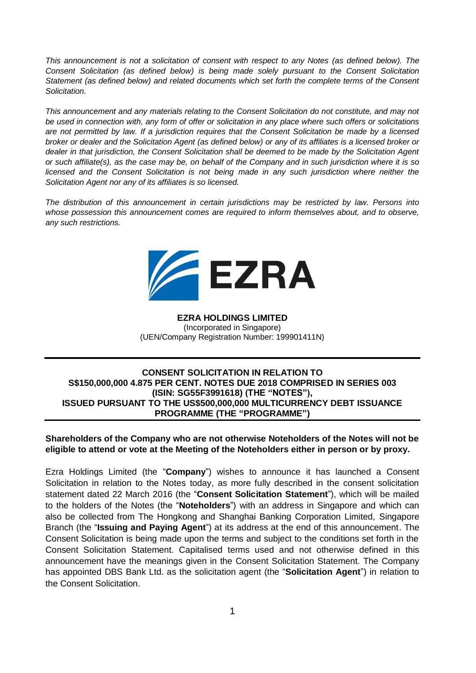*This announcement is not a solicitation of consent with respect to any Notes (as defined below). The Consent Solicitation (as defined below) is being made solely pursuant to the Consent Solicitation Statement (as defined below) and related documents which set forth the complete terms of the Consent Solicitation.*

*This announcement and any materials relating to the Consent Solicitation do not constitute, and may not be used in connection with, any form of offer or solicitation in any place where such offers or solicitations are not permitted by law. If a jurisdiction requires that the Consent Solicitation be made by a licensed broker or dealer and the Solicitation Agent (as defined below) or any of its affiliates is a licensed broker or dealer in that jurisdiction, the Consent Solicitation shall be deemed to be made by the Solicitation Agent or such affiliate(s), as the case may be, on behalf of the Company and in such jurisdiction where it is so licensed and the Consent Solicitation is not being made in any such jurisdiction where neither the Solicitation Agent nor any of its affiliates is so licensed.* 

*The distribution of this announcement in certain jurisdictions may be restricted by law. Persons into whose possession this announcement comes are required to inform themselves about, and to observe, any such restrictions.*



# **EZRA HOLDINGS LIMITED** (Incorporated in Singapore) (UEN/Company Registration Number: 199901411N)

## **CONSENT SOLICITATION IN RELATION TO S\$150,000,000 4.875 PER CENT. NOTES DUE 2018 COMPRISED IN SERIES 003 (ISIN: SG55F3991618) (THE "NOTES"), ISSUED PURSUANT TO THE US\$500,000,000 MULTICURRENCY DEBT ISSUANCE PROGRAMME (THE "PROGRAMME")**

# **Shareholders of the Company who are not otherwise Noteholders of the Notes will not be eligible to attend or vote at the Meeting of the Noteholders either in person or by proxy.**

Ezra Holdings Limited (the "**Company**") wishes to announce it has launched a Consent Solicitation in relation to the Notes today, as more fully described in the consent solicitation statement dated 22 March 2016 (the "**Consent Solicitation Statement**"), which will be mailed to the holders of the Notes (the "**Noteholders**") with an address in Singapore and which can also be collected from The Hongkong and Shanghai Banking Corporation Limited, Singapore Branch (the "**Issuing and Paying Agent**") at its address at the end of this announcement. The Consent Solicitation is being made upon the terms and subject to the conditions set forth in the Consent Solicitation Statement. Capitalised terms used and not otherwise defined in this announcement have the meanings given in the Consent Solicitation Statement. The Company has appointed DBS Bank Ltd. as the solicitation agent (the "**Solicitation Agent**") in relation to the Consent Solicitation.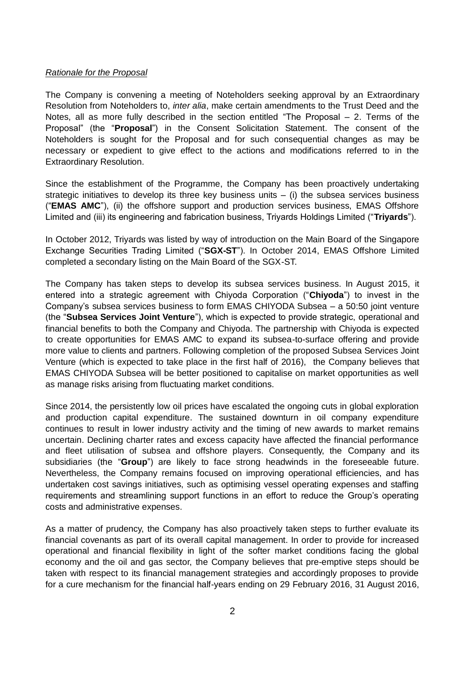#### *Rationale for the Proposal*

The Company is convening a meeting of Noteholders seeking approval by an Extraordinary Resolution from Noteholders to, *inter alia*, make certain amendments to the Trust Deed and the Notes, all as more fully described in the section entitled "The Proposal – 2. Terms of the Proposal" (the "**Proposal**") in the Consent Solicitation Statement. The consent of the Noteholders is sought for the Proposal and for such consequential changes as may be necessary or expedient to give effect to the actions and modifications referred to in the Extraordinary Resolution.

Since the establishment of the Programme, the Company has been proactively undertaking strategic initiatives to develop its three key business units  $-$  (i) the subsea services business ("**EMAS AMC**"), (ii) the offshore support and production services business, EMAS Offshore Limited and (iii) its engineering and fabrication business, Triyards Holdings Limited ("**Triyards**").

In October 2012, Triyards was listed by way of introduction on the Main Board of the Singapore Exchange Securities Trading Limited ("**SGX-ST**"). In October 2014, EMAS Offshore Limited completed a secondary listing on the Main Board of the SGX-ST.

The Company has taken steps to develop its subsea services business. In August 2015, it entered into a strategic agreement with Chiyoda Corporation ("**Chiyoda**") to invest in the Company's subsea services business to form EMAS CHIYODA Subsea – a 50:50 joint venture (the "**Subsea Services Joint Venture**"), which is expected to provide strategic, operational and financial benefits to both the Company and Chiyoda. The partnership with Chiyoda is expected to create opportunities for EMAS AMC to expand its subsea-to-surface offering and provide more value to clients and partners. Following completion of the proposed Subsea Services Joint Venture (which is expected to take place in the first half of 2016), the Company believes that EMAS CHIYODA Subsea will be better positioned to capitalise on market opportunities as well as manage risks arising from fluctuating market conditions.

Since 2014, the persistently low oil prices have escalated the ongoing cuts in global exploration and production capital expenditure. The sustained downturn in oil company expenditure continues to result in lower industry activity and the timing of new awards to market remains uncertain. Declining charter rates and excess capacity have affected the financial performance and fleet utilisation of subsea and offshore players. Consequently, the Company and its subsidiaries (the "**Group**") are likely to face strong headwinds in the foreseeable future. Nevertheless, the Company remains focused on improving operational efficiencies, and has undertaken cost savings initiatives, such as optimising vessel operating expenses and staffing requirements and streamlining support functions in an effort to reduce the Group's operating costs and administrative expenses.

As a matter of prudency, the Company has also proactively taken steps to further evaluate its financial covenants as part of its overall capital management. In order to provide for increased operational and financial flexibility in light of the softer market conditions facing the global economy and the oil and gas sector, the Company believes that pre-emptive steps should be taken with respect to its financial management strategies and accordingly proposes to provide for a cure mechanism for the financial half-years ending on 29 February 2016, 31 August 2016,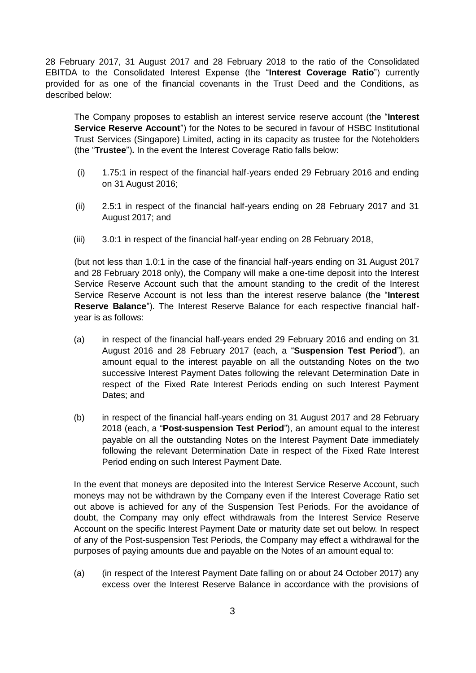28 February 2017, 31 August 2017 and 28 February 2018 to the ratio of the Consolidated EBITDA to the Consolidated Interest Expense (the "**Interest Coverage Ratio**") currently provided for as one of the financial covenants in the Trust Deed and the Conditions, as described below:

The Company proposes to establish an interest service reserve account (the "**Interest Service Reserve Account**") for the Notes to be secured in favour of HSBC Institutional Trust Services (Singapore) Limited, acting in its capacity as trustee for the Noteholders (the "**Trustee**")**.** In the event the Interest Coverage Ratio falls below:

- (i) 1.75:1 in respect of the financial half-years ended 29 February 2016 and ending on 31 August 2016;
- (ii) 2.5:1 in respect of the financial half-years ending on 28 February 2017 and 31 August 2017; and
- (iii) 3.0:1 in respect of the financial half-year ending on 28 February 2018,

(but not less than 1.0:1 in the case of the financial half-years ending on 31 August 2017 and 28 February 2018 only), the Company will make a one-time deposit into the Interest Service Reserve Account such that the amount standing to the credit of the Interest Service Reserve Account is not less than the interest reserve balance (the "**Interest Reserve Balance**"). The Interest Reserve Balance for each respective financial halfyear is as follows:

- (a) in respect of the financial half-years ended 29 February 2016 and ending on 31 August 2016 and 28 February 2017 (each, a "**Suspension Test Period**"), an amount equal to the interest payable on all the outstanding Notes on the two successive Interest Payment Dates following the relevant Determination Date in respect of the Fixed Rate Interest Periods ending on such Interest Payment Dates; and
- (b) in respect of the financial half-years ending on 31 August 2017 and 28 February 2018 (each, a "**Post-suspension Test Period**"), an amount equal to the interest payable on all the outstanding Notes on the Interest Payment Date immediately following the relevant Determination Date in respect of the Fixed Rate Interest Period ending on such Interest Payment Date.

In the event that moneys are deposited into the Interest Service Reserve Account, such moneys may not be withdrawn by the Company even if the Interest Coverage Ratio set out above is achieved for any of the Suspension Test Periods. For the avoidance of doubt, the Company may only effect withdrawals from the Interest Service Reserve Account on the specific Interest Payment Date or maturity date set out below. In respect of any of the Post-suspension Test Periods, the Company may effect a withdrawal for the purposes of paying amounts due and payable on the Notes of an amount equal to:

(a) (in respect of the Interest Payment Date falling on or about 24 October 2017) any excess over the Interest Reserve Balance in accordance with the provisions of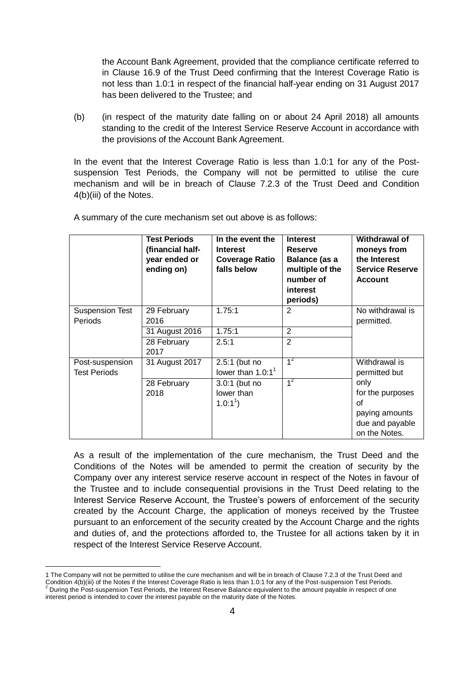the Account Bank Agreement, provided that the compliance certificate referred to in Clause 16.9 of the Trust Deed confirming that the Interest Coverage Ratio is not less than 1.0:1 in respect of the financial half-year ending on 31 August 2017 has been delivered to the Trustee; and

(b) (in respect of the maturity date falling on or about 24 April 2018) all amounts standing to the credit of the Interest Service Reserve Account in accordance with the provisions of the Account Bank Agreement.

In the event that the Interest Coverage Ratio is less than 1.0:1 for any of the Postsuspension Test Periods, the Company will not be permitted to utilise the cure mechanism and will be in breach of Clause 7.2.3 of the Trust Deed and Condition 4(b)(iii) of the Notes.

|                                          | <b>Test Periods</b><br>(financial half-<br>year ended or<br>ending on) | In the event the<br><b>Interest</b><br><b>Coverage Ratio</b><br>falls below | <b>Interest</b><br><b>Reserve</b><br><b>Balance (as a</b><br>multiple of the<br>number of<br>interest<br>periods) | <b>Withdrawal of</b><br>moneys from<br>the Interest<br><b>Service Reserve</b><br><b>Account</b> |
|------------------------------------------|------------------------------------------------------------------------|-----------------------------------------------------------------------------|-------------------------------------------------------------------------------------------------------------------|-------------------------------------------------------------------------------------------------|
| <b>Suspension Test</b><br><b>Periods</b> | 29 February<br>2016                                                    | 1.75:1                                                                      | 2                                                                                                                 | No withdrawal is<br>permitted.                                                                  |
|                                          | 31 August 2016                                                         | 1.75:1                                                                      | $\overline{2}$                                                                                                    |                                                                                                 |
|                                          | 28 February<br>2017                                                    | 2.5:1                                                                       | $\overline{2}$                                                                                                    |                                                                                                 |
| Post-suspension<br><b>Test Periods</b>   | 31 August 2017                                                         | 2.5:1 (but no<br>lower than $1.0:11$                                        | $1^2$                                                                                                             | Withdrawal is<br>permitted but                                                                  |
|                                          | 28 February<br>2018                                                    | 3.0:1 (but no<br>lower than<br>$1.0:1^{1}$                                  | $1^2$                                                                                                             | only<br>for the purposes<br>οf<br>paying amounts<br>due and payable<br>on the Notes.            |

A summary of the cure mechanism set out above is as follows:

As a result of the implementation of the cure mechanism, the Trust Deed and the Conditions of the Notes will be amended to permit the creation of security by the Company over any interest service reserve account in respect of the Notes in favour of the Trustee and to include consequential provisions in the Trust Deed relating to the Interest Service Reserve Account, the Trustee's powers of enforcement of the security created by the Account Charge, the application of moneys received by the Trustee pursuant to an enforcement of the security created by the Account Charge and the rights and duties of, and the protections afforded to, the Trustee for all actions taken by it in respect of the Interest Service Reserve Account.

 $\overline{a}$ 

<sup>1</sup> The Company will not be permitted to utilise the cure mechanism and will be in breach of Clause 7.2.3 of the Trust Deed and Condition 4(b)(iii) of the Notes if the Interest Coverage Ratio is less than 1.0:1 for any of the Post-suspension Test Periods. During the Post-suspension Test Periods, the Interest Reserve Balance equivalent to the amount payable in respect of one

interest period is intended to cover the interest payable on the maturity date of the Notes.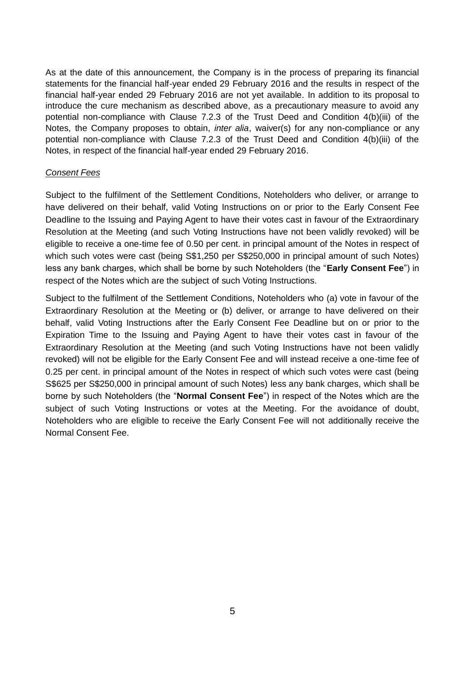As at the date of this announcement, the Company is in the process of preparing its financial statements for the financial half-year ended 29 February 2016 and the results in respect of the financial half-year ended 29 February 2016 are not yet available. In addition to its proposal to introduce the cure mechanism as described above, as a precautionary measure to avoid any potential non-compliance with Clause 7.2.3 of the Trust Deed and Condition 4(b)(iii) of the Notes, the Company proposes to obtain, *inter alia*, waiver(s) for any non-compliance or any potential non-compliance with Clause 7.2.3 of the Trust Deed and Condition 4(b)(iii) of the Notes, in respect of the financial half-year ended 29 February 2016.

# *Consent Fees*

Subject to the fulfilment of the Settlement Conditions, Noteholders who deliver, or arrange to have delivered on their behalf, valid Voting Instructions on or prior to the Early Consent Fee Deadline to the Issuing and Paying Agent to have their votes cast in favour of the Extraordinary Resolution at the Meeting (and such Voting Instructions have not been validly revoked) will be eligible to receive a one-time fee of 0.50 per cent. in principal amount of the Notes in respect of which such votes were cast (being S\$1,250 per S\$250,000 in principal amount of such Notes) less any bank charges, which shall be borne by such Noteholders (the "**Early Consent Fee**") in respect of the Notes which are the subject of such Voting Instructions.

Subject to the fulfilment of the Settlement Conditions, Noteholders who (a) vote in favour of the Extraordinary Resolution at the Meeting or (b) deliver, or arrange to have delivered on their behalf, valid Voting Instructions after the Early Consent Fee Deadline but on or prior to the Expiration Time to the Issuing and Paying Agent to have their votes cast in favour of the Extraordinary Resolution at the Meeting (and such Voting Instructions have not been validly revoked) will not be eligible for the Early Consent Fee and will instead receive a one-time fee of 0.25 per cent. in principal amount of the Notes in respect of which such votes were cast (being S\$625 per S\$250,000 in principal amount of such Notes) less any bank charges, which shall be borne by such Noteholders (the "**Normal Consent Fee**") in respect of the Notes which are the subject of such Voting Instructions or votes at the Meeting. For the avoidance of doubt, Noteholders who are eligible to receive the Early Consent Fee will not additionally receive the Normal Consent Fee.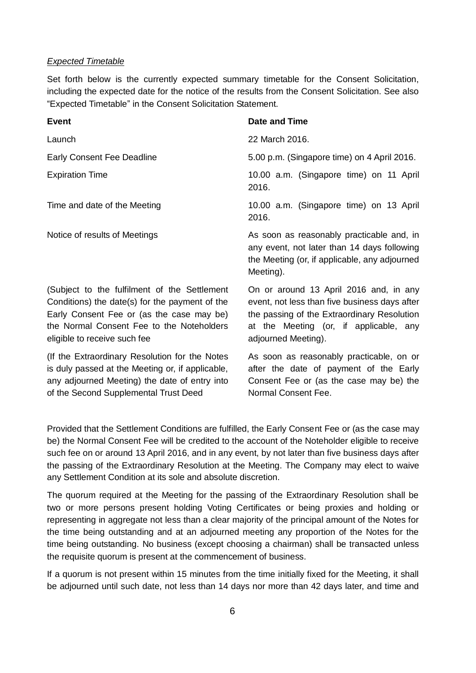#### *Expected Timetable*

of the Second Supplemental Trust Deed

Set forth below is the currently expected summary timetable for the Consent Solicitation, including the expected date for the notice of the results from the Consent Solicitation. See also "Expected Timetable" in the Consent Solicitation Statement.

| <b>Event</b>                                                                                                                                                                                                             | <b>Date and Time</b>                                                                                                                                                                                    |  |  |
|--------------------------------------------------------------------------------------------------------------------------------------------------------------------------------------------------------------------------|---------------------------------------------------------------------------------------------------------------------------------------------------------------------------------------------------------|--|--|
| Launch                                                                                                                                                                                                                   | 22 March 2016.                                                                                                                                                                                          |  |  |
| <b>Early Consent Fee Deadline</b>                                                                                                                                                                                        | 5.00 p.m. (Singapore time) on 4 April 2016.                                                                                                                                                             |  |  |
| <b>Expiration Time</b>                                                                                                                                                                                                   | 10.00 a.m. (Singapore time) on 11 April<br>2016.                                                                                                                                                        |  |  |
| Time and date of the Meeting                                                                                                                                                                                             | 10.00 a.m. (Singapore time) on 13 April<br>2016.                                                                                                                                                        |  |  |
| Notice of results of Meetings                                                                                                                                                                                            | As soon as reasonably practicable and, in<br>any event, not later than 14 days following<br>the Meeting (or, if applicable, any adjourned<br>Meeting).                                                  |  |  |
| (Subject to the fulfilment of the Settlement<br>Conditions) the date(s) for the payment of the<br>Early Consent Fee or (as the case may be)<br>the Normal Consent Fee to the Noteholders<br>eligible to receive such fee | On or around 13 April 2016 and, in any<br>event, not less than five business days after<br>the passing of the Extraordinary Resolution<br>at the Meeting (or, if applicable, any<br>adjourned Meeting). |  |  |
| (If the Extraordinary Resolution for the Notes<br>is duly passed at the Meeting or, if applicable,<br>any adjourned Meeting) the date of entry into                                                                      | As soon as reasonably practicable, on or<br>after the date of payment of the Early<br>Consent Fee or (as the case may be) the                                                                           |  |  |

Provided that the Settlement Conditions are fulfilled, the Early Consent Fee or (as the case may be) the Normal Consent Fee will be credited to the account of the Noteholder eligible to receive such fee on or around 13 April 2016, and in any event, by not later than five business days after the passing of the Extraordinary Resolution at the Meeting. The Company may elect to waive any Settlement Condition at its sole and absolute discretion.

Normal Consent Fee.

The quorum required at the Meeting for the passing of the Extraordinary Resolution shall be two or more persons present holding Voting Certificates or being proxies and holding or representing in aggregate not less than a clear majority of the principal amount of the Notes for the time being outstanding and at an adjourned meeting any proportion of the Notes for the time being outstanding. No business (except choosing a chairman) shall be transacted unless the requisite quorum is present at the commencement of business.

If a quorum is not present within 15 minutes from the time initially fixed for the Meeting, it shall be adjourned until such date, not less than 14 days nor more than 42 days later, and time and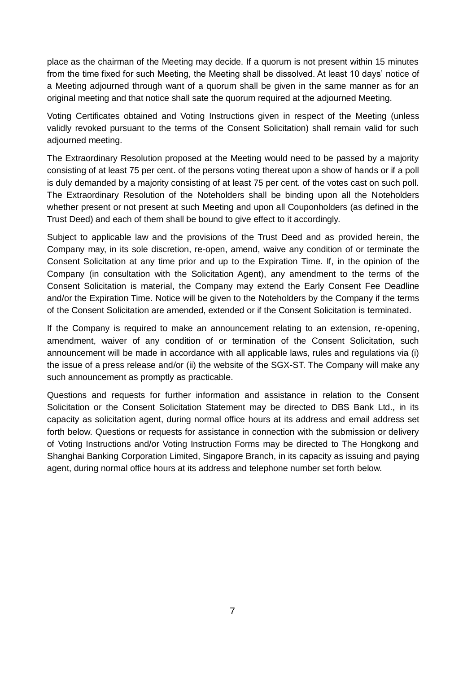place as the chairman of the Meeting may decide. If a quorum is not present within 15 minutes from the time fixed for such Meeting, the Meeting shall be dissolved. At least 10 days' notice of a Meeting adjourned through want of a quorum shall be given in the same manner as for an original meeting and that notice shall sate the quorum required at the adjourned Meeting.

Voting Certificates obtained and Voting Instructions given in respect of the Meeting (unless validly revoked pursuant to the terms of the Consent Solicitation) shall remain valid for such adjourned meeting.

The Extraordinary Resolution proposed at the Meeting would need to be passed by a majority consisting of at least 75 per cent. of the persons voting thereat upon a show of hands or if a poll is duly demanded by a majority consisting of at least 75 per cent. of the votes cast on such poll. The Extraordinary Resolution of the Noteholders shall be binding upon all the Noteholders whether present or not present at such Meeting and upon all Couponholders (as defined in the Trust Deed) and each of them shall be bound to give effect to it accordingly.

Subject to applicable law and the provisions of the Trust Deed and as provided herein, the Company may, in its sole discretion, re-open, amend, waive any condition of or terminate the Consent Solicitation at any time prior and up to the Expiration Time. If, in the opinion of the Company (in consultation with the Solicitation Agent), any amendment to the terms of the Consent Solicitation is material, the Company may extend the Early Consent Fee Deadline and/or the Expiration Time. Notice will be given to the Noteholders by the Company if the terms of the Consent Solicitation are amended, extended or if the Consent Solicitation is terminated.

If the Company is required to make an announcement relating to an extension, re-opening, amendment, waiver of any condition of or termination of the Consent Solicitation, such announcement will be made in accordance with all applicable laws, rules and regulations via (i) the issue of a press release and/or (ii) the website of the SGX-ST. The Company will make any such announcement as promptly as practicable.

Questions and requests for further information and assistance in relation to the Consent Solicitation or the Consent Solicitation Statement may be directed to DBS Bank Ltd., in its capacity as solicitation agent, during normal office hours at its address and email address set forth below. Questions or requests for assistance in connection with the submission or delivery of Voting Instructions and/or Voting Instruction Forms may be directed to The Hongkong and Shanghai Banking Corporation Limited, Singapore Branch, in its capacity as issuing and paying agent, during normal office hours at its address and telephone number set forth below.